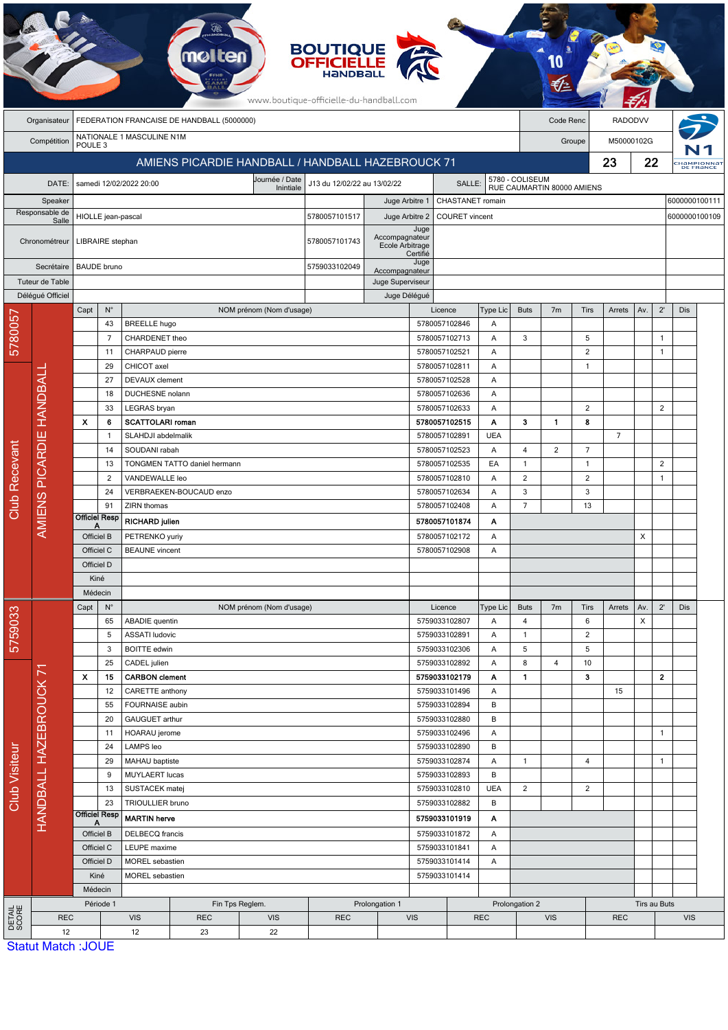|                                      |                                         |                                                 |                                    |                                                           | molten                                            |                          | <b>BOUTIQUE<br/>OFFICIELLE</b><br>www.boutique-officielle-du-handball.com |                                                                           |                                                 |                                |                 |                |                 |                     |                                |                |                              |            |  |
|--------------------------------------|-----------------------------------------|-------------------------------------------------|------------------------------------|-----------------------------------------------------------|---------------------------------------------------|--------------------------|---------------------------------------------------------------------------|---------------------------------------------------------------------------|-------------------------------------------------|--------------------------------|-----------------|----------------|-----------------|---------------------|--------------------------------|----------------|------------------------------|------------|--|
|                                      | Organisateur                            | FEDERATION FRANCAISE DE HANDBALL (5000000)      |                                    |                                                           |                                                   |                          |                                                                           |                                                                           |                                                 |                                |                 |                |                 | Code Renc           | <b>RADODVV</b>                 |                |                              |            |  |
|                                      | Compétition                             | NATIONALE 1 MASCULINE N1M<br>POULE <sub>3</sub> |                                    |                                                           |                                                   |                          |                                                                           |                                                                           |                                                 |                                |                 |                | Groupe          |                     |                                | M50000102G     |                              |            |  |
|                                      |                                         |                                                 |                                    |                                                           | AMIENS PICARDIE HANDBALL / HANDBALL HAZEBROUCK 71 |                          |                                                                           |                                                                           |                                                 |                                |                 |                |                 | 23                  | 22<br>:Hampionnat<br>DE FRANCE |                |                              |            |  |
|                                      | DATE:                                   |                                                 |                                    |                                                           | Journée / Date<br>J13 du 12/02/22 au 13/02/22     |                          |                                                                           |                                                                           |                                                 |                                |                 |                | 5780 - COLISEUM |                     |                                |                |                              |            |  |
|                                      |                                         | samedi 12/02/2022 20:00<br>Inintiale            |                                    |                                                           |                                                   |                          |                                                                           | SALLE:<br>RUE CAUMARTIN 80000 AMIENS<br>6000000100111<br>CHASTANET romain |                                                 |                                |                 |                |                 |                     |                                |                |                              |            |  |
| Speaker<br>Responsable de            |                                         | HIOLLE jean-pascal                              |                                    |                                                           |                                                   |                          | 5780057101517                                                             | Juge Arbitre 1<br>Juge Arbitre 2                                          |                                                 | <b>COURET</b> vincent          |                 |                |                 |                     |                                |                | 6000000100109                |            |  |
| Salle<br>Chronométreur<br>Secrétaire |                                         |                                                 |                                    |                                                           |                                                   |                          |                                                                           |                                                                           | Juge                                            |                                |                 |                |                 |                     |                                |                |                              |            |  |
|                                      |                                         | LIBRAIRE stephan                                |                                    |                                                           |                                                   |                          | 5780057101743                                                             | Accompagnateur<br>Ecole Arbitrage                                         |                                                 |                                |                 |                |                 |                     |                                |                |                              |            |  |
|                                      |                                         |                                                 | <b>BAUDE</b> bruno                 |                                                           |                                                   |                          | 5759033102049                                                             |                                                                           | Certifié<br>Juge                                |                                |                 |                |                 |                     |                                |                |                              |            |  |
| Tuteur de Table                      |                                         |                                                 |                                    |                                                           |                                                   |                          |                                                                           | Accompagnateur<br>Juge Superviseur                                        |                                                 |                                |                 |                |                 |                     |                                |                |                              |            |  |
| Délégué Officiel                     |                                         |                                                 |                                    |                                                           |                                                   |                          |                                                                           | Juge Délégué                                                              |                                                 |                                |                 |                |                 |                     |                                |                |                              |            |  |
|                                      |                                         | Capt                                            | $N^{\circ}$                        |                                                           |                                                   | NOM prénom (Nom d'usage) |                                                                           |                                                                           |                                                 | Licence                        | Type Lic        | <b>Buts</b>    | 7 <sub>m</sub>  | <b>Tirs</b>         | Arrets                         | Av.            | $2^{\prime}$                 | Dis        |  |
| 5780057                              |                                         |                                                 | 43                                 | <b>BREELLE</b> hugo                                       |                                                   |                          |                                                                           |                                                                           |                                                 | 5780057102846                  | A               |                |                 |                     |                                |                |                              |            |  |
|                                      | <b>HANDBALI</b>                         |                                                 | $\overline{7}$<br>11               | CHARDENET theo<br>CHARPAUD pierre                         |                                                   |                          |                                                                           |                                                                           |                                                 | 5780057102713<br>5780057102521 | Α<br>A          | 3              |                 | 5<br>$\overline{2}$ |                                |                | $\mathbf{1}$<br>$\mathbf{1}$ |            |  |
|                                      |                                         |                                                 | 29                                 | CHICOT axel                                               |                                                   |                          |                                                                           |                                                                           |                                                 | 5780057102811                  | Α               |                |                 | $\mathbf{1}$        |                                |                |                              |            |  |
|                                      |                                         |                                                 | 27                                 | <b>DEVAUX</b> clement                                     |                                                   |                          |                                                                           |                                                                           |                                                 | 5780057102528                  | Α               |                |                 |                     |                                |                |                              |            |  |
|                                      |                                         |                                                 | 18                                 | DUCHESNE nolann                                           |                                                   |                          |                                                                           |                                                                           |                                                 | 5780057102636                  | A               |                |                 |                     |                                |                |                              |            |  |
|                                      |                                         |                                                 | 33                                 | LEGRAS bryan                                              |                                                   |                          |                                                                           |                                                                           |                                                 | 5780057102633                  | Α               |                |                 | $\overline{2}$      |                                |                | $\overline{2}$               |            |  |
|                                      |                                         | X<br>6<br>-1                                    |                                    |                                                           | <b>SCATTOLARI roman</b><br>SLAHDJI abdelmalik     |                          |                                                                           |                                                                           |                                                 | 5780057102515                  | A<br><b>UEA</b> | 3              | $\mathbf{1}$    | 8                   | $\overline{7}$                 |                |                              |            |  |
|                                      | <b>AMIENS PICARDIE</b>                  |                                                 | 14                                 | SOUDANI rabah                                             |                                                   |                          |                                                                           |                                                                           | 5780057102891<br>5780057102523                  |                                | 4               | 2              | $\overline{7}$  |                     |                                |                |                              |            |  |
|                                      |                                         |                                                 | 13<br>TONGMEN TATTO daniel hermann |                                                           |                                                   |                          |                                                                           |                                                                           | 5780057102535                                   | EA                             | $\mathbf{1}$    |                | $\mathbf{1}$    |                     |                                | $\overline{2}$ |                              |            |  |
| Recevant                             |                                         |                                                 | $\overline{c}$                     | VANDEWALLE leo                                            |                                                   |                          |                                                                           |                                                                           |                                                 | 5780057102810                  | Α               | 2              |                 | $\overline{2}$      |                                |                | $\mathbf{1}$                 |            |  |
|                                      |                                         |                                                 | 24                                 |                                                           | VERBRAEKEN-BOUCAUD enzo                           |                          |                                                                           |                                                                           |                                                 | 5780057102634                  | A               | 3              |                 | 3                   |                                |                |                              |            |  |
| Club                                 |                                         |                                                 | 91<br><b>Officiel Resp</b>         | ZIRN thomas<br><b>RICHARD julien</b>                      |                                                   |                          |                                                                           |                                                                           | 5780057102408<br>5780057101874                  | A<br>Α                         | $\overline{7}$  |                | 13              |                     |                                |                |                              |            |  |
|                                      |                                         | Α<br>Officiel B                                 |                                    | PETRENKO yuriy                                            |                                                   |                          |                                                                           |                                                                           | 5780057102172                                   | Α                              |                 |                |                 |                     | X                              |                |                              |            |  |
|                                      |                                         | Officiel C                                      |                                    | <b>BEAUNE</b> vincent                                     |                                                   |                          |                                                                           | 5780057102908                                                             | A                                               |                                |                 |                |                 |                     |                                |                |                              |            |  |
|                                      |                                         | Officiel D                                      |                                    |                                                           |                                                   |                          |                                                                           |                                                                           |                                                 |                                |                 |                |                 |                     |                                |                |                              |            |  |
|                                      |                                         | Kiné                                            |                                    |                                                           |                                                   |                          |                                                                           |                                                                           |                                                 |                                |                 |                |                 |                     |                                |                |                              |            |  |
|                                      |                                         | Médecin<br>$N^{\circ}$<br>Capt                  |                                    |                                                           |                                                   | NOM prénom (Nom d'usage) |                                                                           |                                                                           |                                                 | Licence                        |                 | <b>Buts</b>    | 7 <sub>m</sub>  | Tirs                | Arrets                         | Av.            | $2^{\prime}$                 | Dis        |  |
|                                      |                                         |                                                 | 65                                 | <b>ABADIE</b> quentin                                     |                                                   |                          |                                                                           |                                                                           |                                                 | 5759033102807                  | Type Lic<br>Α   | 4              |                 | 6                   |                                | X              |                              |            |  |
| 5759033                              |                                         |                                                 | 5                                  | <b>ASSATI</b> ludovic                                     |                                                   |                          |                                                                           |                                                                           | 5759033102891                                   |                                | Α               | $\mathbf{1}$   |                 | $\overline{2}$      |                                |                |                              |            |  |
|                                      |                                         |                                                 | 3                                  | <b>BOITTE</b> edwin                                       |                                                   |                          |                                                                           |                                                                           |                                                 | 5759033102306                  | A               | 5              |                 | 5                   |                                |                |                              |            |  |
|                                      |                                         |                                                 | 25                                 | CADEL julien                                              |                                                   |                          |                                                                           |                                                                           |                                                 | 5759033102892                  | Α               | 8              | 4               | 10                  |                                |                |                              |            |  |
|                                      |                                         | x<br>15<br>12                                   |                                    | <b>CARBON</b> clement<br>CARETTE anthony                  |                                                   |                          |                                                                           |                                                                           |                                                 | 5759033102179<br>5759033101496 | Α<br>A          | 1              |                 | 3                   | 15                             |                | $\mathbf{2}$                 |            |  |
|                                      |                                         | 55                                              |                                    | FOURNAISE aubin                                           |                                                   |                          |                                                                           |                                                                           | 5759033102894                                   |                                | B               |                |                 |                     |                                |                |                              |            |  |
|                                      |                                         | 20                                              |                                    | GAUGUET arthur                                            |                                                   |                          |                                                                           |                                                                           |                                                 | 5759033102880                  | B               |                |                 |                     |                                |                |                              |            |  |
|                                      |                                         | 11                                              |                                    | HOARAU jerome                                             |                                                   |                          |                                                                           |                                                                           | 5759033102496                                   |                                | Α               |                |                 |                     |                                |                | $\mathbf{1}$                 |            |  |
|                                      |                                         |                                                 | 24<br>29                           | LAMPS leo<br>MAHAU baptiste                               |                                                   |                          |                                                                           |                                                                           | 5759033102890<br>5759033102874                  |                                | B<br>Α          | $\mathbf{1}$   |                 | 4                   |                                |                | $\mathbf{1}$                 |            |  |
|                                      | HANDBALL HAZEBROUCK 71                  |                                                 | 9                                  | MUYLAERT lucas                                            |                                                   |                          | 5759033102893                                                             |                                                                           | B                                               |                                |                 |                |                 |                     |                                |                |                              |            |  |
| Club Visiteur                        |                                         |                                                 | 13                                 | SUSTACEK matej                                            |                                                   |                          |                                                                           |                                                                           |                                                 | 5759033102810                  | <b>UEA</b>      | $\overline{c}$ |                 | $\overline{c}$      |                                |                |                              |            |  |
|                                      |                                         |                                                 | 23                                 |                                                           | TRIOULLIER bruno                                  |                          |                                                                           |                                                                           |                                                 | 5759033102882                  |                 |                |                 |                     |                                |                |                              |            |  |
|                                      |                                         | <b>Officiel Resp</b><br>А                       |                                    | <b>MARTIN</b> herve                                       |                                                   |                          |                                                                           | 5759033101919                                                             |                                                 | Α                              |                 |                |                 |                     |                                |                |                              |            |  |
|                                      |                                         | Officiel B<br>Officiel C                        |                                    | <b>DELBECQ</b> francis<br>LEUPE maxime<br>MOREL sebastien |                                                   |                          |                                                                           |                                                                           | 5759033101872<br>5759033101841<br>5759033101414 |                                | Α               |                |                 |                     |                                |                |                              |            |  |
|                                      |                                         |                                                 |                                    |                                                           |                                                   |                          |                                                                           |                                                                           |                                                 |                                | A<br>A          |                |                 |                     |                                |                |                              |            |  |
|                                      |                                         | Officiel D<br>Kiné                              |                                    | MOREL sebastien                                           |                                                   |                          |                                                                           |                                                                           | 5759033101414                                   |                                |                 |                |                 |                     |                                |                |                              |            |  |
|                                      |                                         |                                                 | Médecin                            |                                                           |                                                   |                          |                                                                           |                                                                           |                                                 |                                |                 |                |                 |                     |                                |                |                              |            |  |
| DETAIL<br>SCORE                      |                                         | Période 1                                       |                                    |                                                           | Fin Tps Reglem.                                   |                          |                                                                           | Prolongation 1                                                            |                                                 |                                |                 | Prolongation 2 |                 |                     |                                |                | Tirs au Buts                 |            |  |
|                                      | <b>REC</b><br>12                        |                                                 |                                    | <b>VIS</b><br>12                                          | <b>REC</b><br>23                                  | <b>VIS</b><br>22         | <b>REC</b>                                                                |                                                                           | <b>VIS</b>                                      | <b>REC</b>                     |                 | <b>VIS</b>     |                 | <b>REC</b>          |                                |                |                              | <b>VIS</b> |  |
|                                      | $Q_{\text{fath}} + M_{\text{fath}} + I$ |                                                 |                                    |                                                           |                                                   |                          |                                                                           |                                                                           |                                                 |                                |                 |                |                 |                     |                                |                |                              |            |  |

**Committee** 

**Statut Match: JOUE**